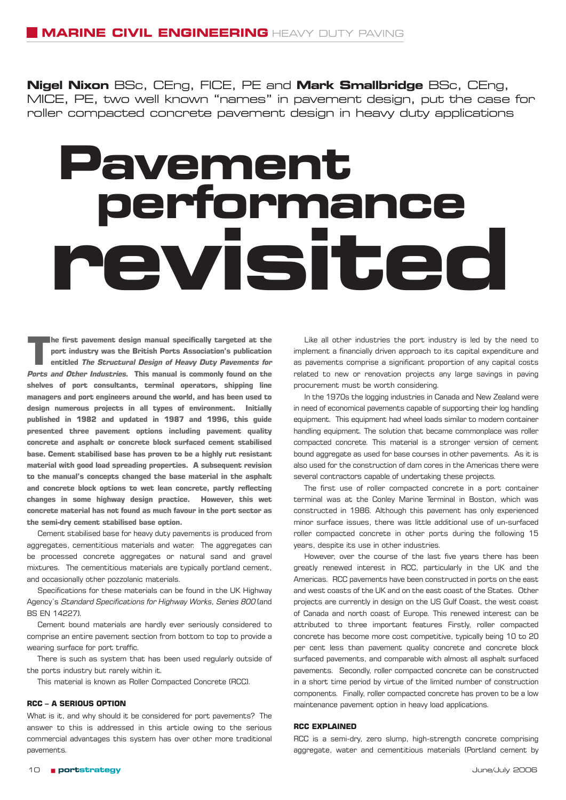**Nigel Nixon** BSc, CEng, FICE, PE and **Mark Smallbridge** BSc, CEng, MICE, PE, two well known "names" in pavement design, put the case for roller compacted concrete pavement design in heavy duty applications

## **Pavement revisited performance**

**The first pavement design manual specifically targeted at the port industry was the British Ports Association's publication entitled The Structural Design of Heavy Duty Pavements for Ports and Other Industries. This manual is commonly found on the shelves of port consultants, terminal operators, shipping line managers and port engineers around the world, and has been used to design numerous projects in all types of environment. Initially published in 1982 and updated in 1987 and 1996, this guide presented three pavement options including pavement quality concrete and asphalt or concrete block surfaced cement stabilised base. Cement stabilised base has proven to be a highly rut resistant material with good load spreading properties. A subsequent revision to the manual's concepts changed the base material in the asphalt and concrete block options to wet lean concrete, partly reflecting changes in some highway design practice. However, this wet concrete material has not found as much favour in the port sector as the semi-dry cement stabilised base option.**

Cement stabilised base for heavy duty pavements is produced from aggregates, cementitious materials and water. The aggregates can be processed concrete aggregates or natural sand and gravel mixtures. The cementitious materials are typically portland cement, and occasionally other pozzolanic materials.

Specifications for these materials can be found in the UK Highway Agency's Standard Specifications for Highway Works, Series 800 (and BS EN 14227).

Cement bound materials are hardly ever seriously considered to comprise an entire pavement section from bottom to top to provide a wearing surface for port traffic.

There is such as system that has been used regularly outside of the ports industry but rarely within it.

This material is known as Roller Compacted Concrete (RCC).

## **RCC – A SERIOUS OPTION**

What is it, and why should it be considered for port pavements? The answer to this is addressed in this article owing to the serious commercial advantages this system has over other more traditional pavements.

Like all other industries the port industry is led by the need to implement a financially driven approach to its capital expenditure and as pavements comprise a significant proportion of any capital costs related to new or renovation projects any large savings in paving procurement must be worth considering.

In the 1970s the logging industries in Canada and New Zealand were in need of economical pavements capable of supporting their log handling equipment. This equipment had wheel loads similar to modern container handling equipment. The solution that became commonplace was roller compacted concrete. This material is a stronger version of cement bound aggregate as used for base courses in other pavements. As it is also used for the construction of dam cores in the Americas there were several contractors capable of undertaking these projects.

The first use of roller compacted concrete in a port container terminal was at the Conley Marine Terminal in Boston, which was constructed in 1986. Although this pavement has only experienced minor surface issues, there was little additional use of un-surfaced roller compacted concrete in other ports during the following 15 years, despite its use in other industries.

However, over the course of the last five years there has been greatly renewed interest in RCC, particularly in the UK and the Americas. RCC pavements have been constructed in ports on the east and west coasts of the UK and on the east coast of the States. Other projects are currently in design on the US Gulf Coast, the west coast of Canada and north coast of Europe. This renewed interest can be attributed to three important features Firstly, roller compacted concrete has become more cost competitive, typically being 10 to 20 per cent less than pavement quality concrete and concrete block surfaced pavements, and comparable with almost all asphalt surfaced pavements. Secondly, roller compacted concrete can be constructed in a short time period by virtue of the limited number of construction components. Finally, roller compacted concrete has proven to be a low maintenance pavement option in heavy load applications.

## **RCC EXPLAINED**

RCC is a semi-dry, zero slump, high-strength concrete comprising aggregate, water and cementitious materials (Portland cement by